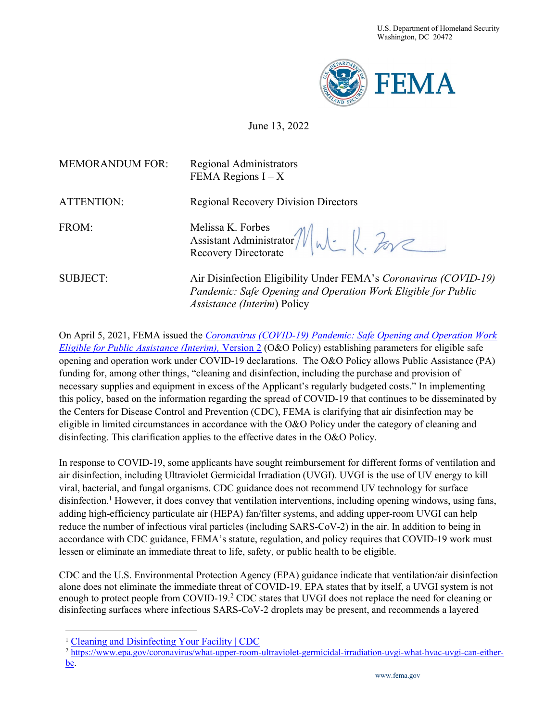

## June 13, 2022

| <b>MEMORANDUM FOR:</b> | <b>Regional Administrators</b><br>FEMA Regions $I - X$                                                                                                                  |
|------------------------|-------------------------------------------------------------------------------------------------------------------------------------------------------------------------|
| ATTENTION:             | <b>Regional Recovery Division Directors</b>                                                                                                                             |
| FROM:                  | Melissa K. Forbes<br>Assistant Administrator Mul-R. Fore<br>Recovery Directorate                                                                                        |
| <b>SUBJECT:</b>        | Air Disinfection Eligibility Under FEMA's Coronavirus (COVID-19)<br>Pandemic: Safe Opening and Operation Work Eligible for Public<br><i>Assistance (Interim)</i> Policy |

On April 5, 2021, FEMA issued the Coronavirus (COVID-19) Pandemic: Safe Opening and Operation Work Eligible for Public Assistance (Interim), Version 2 (O&O Policy) establishing parameters for eligible safe opening and operation work under COVID-19 declarations. The O&O Policy allows Public Assistance (PA) funding for, among other things, "cleaning and disinfection, including the purchase and provision of necessary supplies and equipment in excess of the Applicant's regularly budgeted costs." In implementing this policy, based on the information regarding the spread of COVID-19 that continues to be disseminated by the Centers for Disease Control and Prevention (CDC), FEMA is clarifying that air disinfection may be eligible in limited circumstances in accordance with the O&O Policy under the category of cleaning and disinfecting. This clarification applies to the effective dates in the O&O Policy.

In response to COVID-19, some applicants have sought reimbursement for different forms of ventilation and air disinfection, including Ultraviolet Germicidal Irradiation (UVGI). UVGI is the use of UV energy to kill viral, bacterial, and fungal organisms. CDC guidance does not recommend UV technology for surface disinfection.<sup>1</sup> However, it does convey that ventilation interventions, including opening windows, using fans, adding high-efficiency particulate air (HEPA) fan/filter systems, and adding upper-room UVGI can help reduce the number of infectious viral particles (including SARS-CoV-2) in the air. In addition to being in accordance with CDC guidance, FEMA's statute, regulation, and policy requires that COVID-19 work must lessen or eliminate an immediate threat to life, safety, or public health to be eligible.

CDC and the U.S. Environmental Protection Agency (EPA) guidance indicate that ventilation/air disinfection alone does not eliminate the immediate threat of COVID-19. EPA states that by itself, a UVGI system is not enough to protect people from COVID-19.<sup>2</sup> CDC states that UVGI does not replace the need for cleaning or disinfecting surfaces where infectious SARS-CoV-2 droplets may be present, and recommends a layered

<sup>1</sup> Cleaning and Disinfecting Your Facility | CDC

<sup>&</sup>lt;sup>2</sup> https://www.epa.gov/coronavirus/what-upper-room-ultraviolet-germicidal-irradiation-uvgi-what-hvac-uvgi-can-eitherbe.